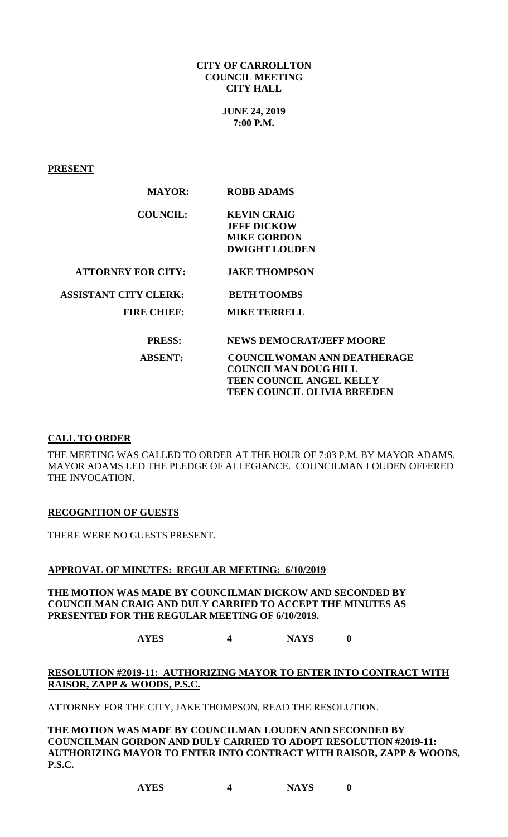**CITY OF CARROLLTON COUNCIL MEETING CITY HALL**

> **JUNE 24, 2019 7:00 P.M.**

**PRESENT**

| <b>MAYOR:</b>                | <b>ROBB ADAMS</b>                  |
|------------------------------|------------------------------------|
| <b>COUNCIL:</b>              | <b>KEVIN CRAIG</b>                 |
|                              | <b>JEFF DICKOW</b>                 |
|                              | <b>MIKE GORDON</b>                 |
|                              | <b>DWIGHT LOUDEN</b>               |
| <b>ATTORNEY FOR CITY:</b>    | <b>JAKE THOMPSON</b>               |
| <b>ASSISTANT CITY CLERK:</b> | <b>BETH TOOMBS</b>                 |
| <b>FIRE CHIEF:</b>           | <b>MIKE TERRELL</b>                |
| <b>PRESS:</b>                | <b>NEWS DEMOCRAT/JEFF MOORE</b>    |
| <b>ABSENT:</b>               | <b>COUNCILWOMAN ANN DEATHERAGE</b> |
|                              | <b>COUNCILMAN DOUG HILL</b>        |
|                              | <b>TEEN COUNCIL ANGEL KELLY</b>    |

### **CALL TO ORDER**

THE MEETING WAS CALLED TO ORDER AT THE HOUR OF 7:03 P.M. BY MAYOR ADAMS. MAYOR ADAMS LED THE PLEDGE OF ALLEGIANCE. COUNCILMAN LOUDEN OFFERED THE INVOCATION.

**TEEN COUNCIL OLIVIA BREEDEN**

## **RECOGNITION OF GUESTS**

THERE WERE NO GUESTS PRESENT.

#### **APPROVAL OF MINUTES: REGULAR MEETING: 6/10/2019**

## **THE MOTION WAS MADE BY COUNCILMAN DICKOW AND SECONDED BY COUNCILMAN CRAIG AND DULY CARRIED TO ACCEPT THE MINUTES AS PRESENTED FOR THE REGULAR MEETING OF 6/10/2019.**

**AYES 4 NAYS 0**

# **RESOLUTION #2019-11: AUTHORIZING MAYOR TO ENTER INTO CONTRACT WITH RAISOR, ZAPP & WOODS, P.S.C.**

ATTORNEY FOR THE CITY, JAKE THOMPSON, READ THE RESOLUTION.

**THE MOTION WAS MADE BY COUNCILMAN LOUDEN AND SECONDED BY COUNCILMAN GORDON AND DULY CARRIED TO ADOPT RESOLUTION #2019-11: AUTHORIZING MAYOR TO ENTER INTO CONTRACT WITH RAISOR, ZAPP & WOODS, P.S.C.**

**AYES 4 NAYS 0**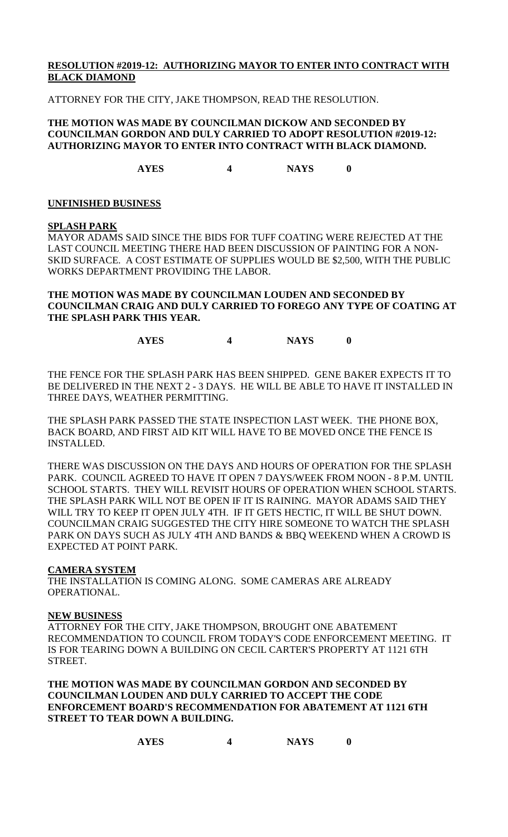# **RESOLUTION #2019-12: AUTHORIZING MAYOR TO ENTER INTO CONTRACT WITH BLACK DIAMOND**

ATTORNEY FOR THE CITY, JAKE THOMPSON, READ THE RESOLUTION.

## **THE MOTION WAS MADE BY COUNCILMAN DICKOW AND SECONDED BY COUNCILMAN GORDON AND DULY CARRIED TO ADOPT RESOLUTION #2019-12: AUTHORIZING MAYOR TO ENTER INTO CONTRACT WITH BLACK DIAMOND.**

**AYES 4 NAYS 0**

## **UNFINISHED BUSINESS**

### **SPLASH PARK**

MAYOR ADAMS SAID SINCE THE BIDS FOR TUFF COATING WERE REJECTED AT THE LAST COUNCIL MEETING THERE HAD BEEN DISCUSSION OF PAINTING FOR A NON-SKID SURFACE. A COST ESTIMATE OF SUPPLIES WOULD BE \$2,500, WITH THE PUBLIC WORKS DEPARTMENT PROVIDING THE LABOR.

# **THE MOTION WAS MADE BY COUNCILMAN LOUDEN AND SECONDED BY COUNCILMAN CRAIG AND DULY CARRIED TO FOREGO ANY TYPE OF COATING AT THE SPLASH PARK THIS YEAR.**

**AYES 4 NAYS 0**

THE FENCE FOR THE SPLASH PARK HAS BEEN SHIPPED. GENE BAKER EXPECTS IT TO BE DELIVERED IN THE NEXT 2 - 3 DAYS. HE WILL BE ABLE TO HAVE IT INSTALLED IN THREE DAYS, WEATHER PERMITTING.

THE SPLASH PARK PASSED THE STATE INSPECTION LAST WEEK. THE PHONE BOX, BACK BOARD, AND FIRST AID KIT WILL HAVE TO BE MOVED ONCE THE FENCE IS INSTALLED.

THERE WAS DISCUSSION ON THE DAYS AND HOURS OF OPERATION FOR THE SPLASH PARK. COUNCIL AGREED TO HAVE IT OPEN 7 DAYS/WEEK FROM NOON - 8 P.M. UNTIL SCHOOL STARTS. THEY WILL REVISIT HOURS OF OPERATION WHEN SCHOOL STARTS. THE SPLASH PARK WILL NOT BE OPEN IF IT IS RAINING. MAYOR ADAMS SAID THEY WILL TRY TO KEEP IT OPEN JULY 4TH. IF IT GETS HECTIC, IT WILL BE SHUT DOWN. COUNCILMAN CRAIG SUGGESTED THE CITY HIRE SOMEONE TO WATCH THE SPLASH PARK ON DAYS SUCH AS JULY 4TH AND BANDS & BBQ WEEKEND WHEN A CROWD IS EXPECTED AT POINT PARK.

### **CAMERA SYSTEM**

THE INSTALLATION IS COMING ALONG. SOME CAMERAS ARE ALREADY OPERATIONAL.

### **NEW BUSINESS**

ATTORNEY FOR THE CITY, JAKE THOMPSON, BROUGHT ONE ABATEMENT RECOMMENDATION TO COUNCIL FROM TODAY'S CODE ENFORCEMENT MEETING. IT IS FOR TEARING DOWN A BUILDING ON CECIL CARTER'S PROPERTY AT 1121 6TH STREET.

**THE MOTION WAS MADE BY COUNCILMAN GORDON AND SECONDED BY COUNCILMAN LOUDEN AND DULY CARRIED TO ACCEPT THE CODE ENFORCEMENT BOARD'S RECOMMENDATION FOR ABATEMENT AT 1121 6TH STREET TO TEAR DOWN A BUILDING.**

| <b>AYES</b> | <b>NAYS</b> |  |
|-------------|-------------|--|
|-------------|-------------|--|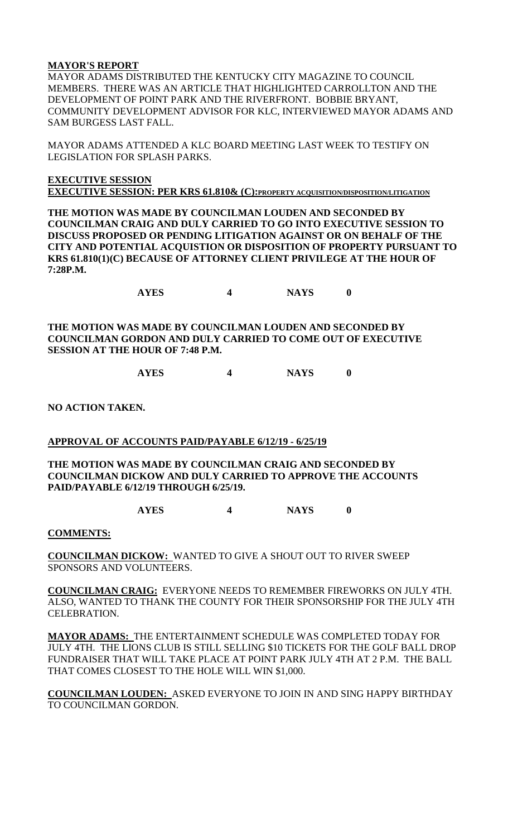# **MAYOR'S REPORT**

MAYOR ADAMS DISTRIBUTED THE KENTUCKY CITY MAGAZINE TO COUNCIL MEMBERS. THERE WAS AN ARTICLE THAT HIGHLIGHTED CARROLLTON AND THE DEVELOPMENT OF POINT PARK AND THE RIVERFRONT. BOBBIE BRYANT, COMMUNITY DEVELOPMENT ADVISOR FOR KLC, INTERVIEWED MAYOR ADAMS AND SAM BURGESS LAST FALL.

MAYOR ADAMS ATTENDED A KLC BOARD MEETING LAST WEEK TO TESTIFY ON LEGISLATION FOR SPLASH PARKS.

**EXECUTIVE SESSION EXECUTIVE SESSION: PER KRS 61.810& (C):PROPERTY ACQUISITION/DISPOSITION/LITIGATION**

**THE MOTION WAS MADE BY COUNCILMAN LOUDEN AND SECONDED BY COUNCILMAN CRAIG AND DULY CARRIED TO GO INTO EXECUTIVE SESSION TO DISCUSS PROPOSED OR PENDING LITIGATION AGAINST OR ON BEHALF OF THE CITY AND POTENTIAL ACQUISTION OR DISPOSITION OF PROPERTY PURSUANT TO KRS 61.810(1)(C) BECAUSE OF ATTORNEY CLIENT PRIVILEGE AT THE HOUR OF 7:28P.M.**

**AYES 4 NAYS 0**

**THE MOTION WAS MADE BY COUNCILMAN LOUDEN AND SECONDED BY COUNCILMAN GORDON AND DULY CARRIED TO COME OUT OF EXECUTIVE SESSION AT THE HOUR OF 7:48 P.M.**

**AYES 4 NAYS 0**

**NO ACTION TAKEN.**

# **APPROVAL OF ACCOUNTS PAID/PAYABLE 6/12/19 - 6/25/19**

**THE MOTION WAS MADE BY COUNCILMAN CRAIG AND SECONDED BY COUNCILMAN DICKOW AND DULY CARRIED TO APPROVE THE ACCOUNTS PAID/PAYABLE 6/12/19 THROUGH 6/25/19.**

**AYES 4 NAYS 0**

### **COMMENTS:**

**COUNCILMAN DICKOW:** WANTED TO GIVE A SHOUT OUT TO RIVER SWEEP SPONSORS AND VOLUNTEERS.

**COUNCILMAN CRAIG:** EVERYONE NEEDS TO REMEMBER FIREWORKS ON JULY 4TH. ALSO, WANTED TO THANK THE COUNTY FOR THEIR SPONSORSHIP FOR THE JULY 4TH CELEBRATION.

**MAYOR ADAMS:** THE ENTERTAINMENT SCHEDULE WAS COMPLETED TODAY FOR JULY 4TH. THE LIONS CLUB IS STILL SELLING \$10 TICKETS FOR THE GOLF BALL DROP FUNDRAISER THAT WILL TAKE PLACE AT POINT PARK JULY 4TH AT 2 P.M. THE BALL THAT COMES CLOSEST TO THE HOLE WILL WIN \$1,000.

**COUNCILMAN LOUDEN:** ASKED EVERYONE TO JOIN IN AND SING HAPPY BIRTHDAY TO COUNCILMAN GORDON.